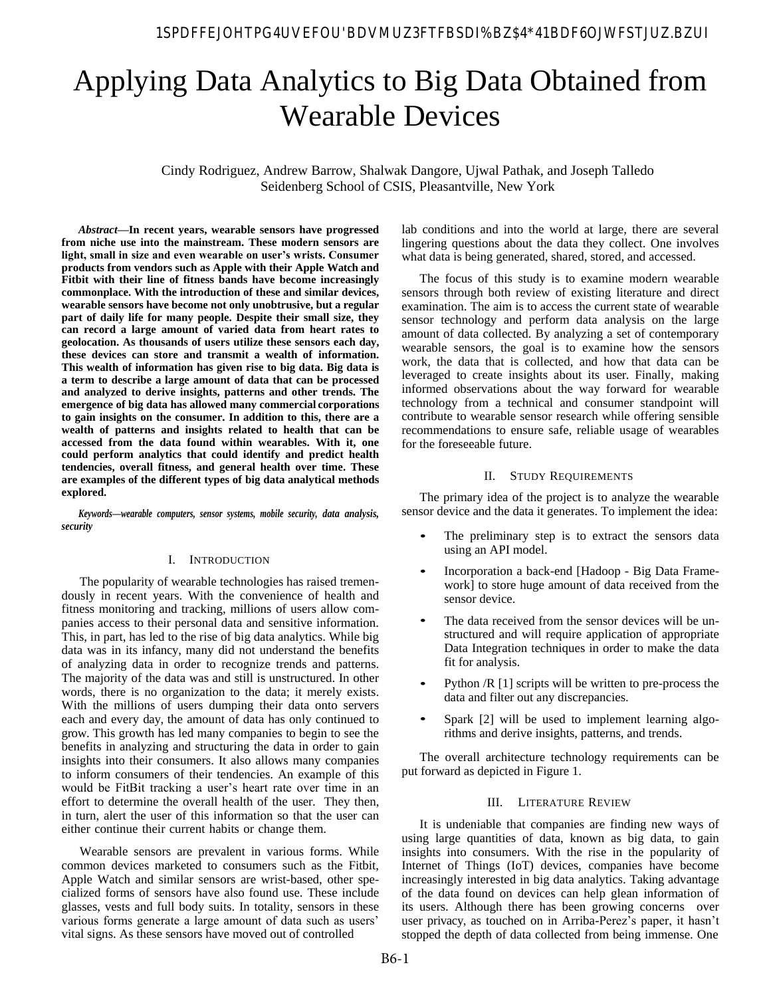# Applying Data Analytics to Big Data Obtained from Wearable Devices

Cindy Rodriguez, Andrew Barrow, Shalwak Dangore, Ujwal Pathak, and Joseph Talledo Seidenberg School of CSIS, Pleasantville, New York

*Abstract***—In recent years, wearable sensors have progressed from niche use into the mainstream. These modern sensors are light, small in size and even wearable on user's wrists. Consumer products from vendors such as Apple with their Apple Watch and Fitbit with their line of fitness bands have become increasingly commonplace. With the introduction of these and similar devices, wearable sensors have become not only unobtrusive, but a regular part of daily life for many people. Despite their small size, they can record a large amount of varied data from heart rates to geolocation. As thousands of users utilize these sensors each day, these devices can store and transmit a wealth of information. This wealth of information has given rise to big data. Big data is a term to describe a large amount of data that can be processed and analyzed to derive insights, patterns and other trends. The emergence of big data has allowed many commercial corporations to gain insights on the consumer. In addition to this, there are a wealth of patterns and insights related to health that can be accessed from the data found within wearables. With it, one could perform analytics that could identify and predict health tendencies, overall fitness, and general health over time. These are examples of the different types of big data analytical methods explored.**

*Keywords***—***wearable computers, sensor systems, mobile security, data analysis, security*

# I. INTRODUCTION

The popularity of wearable technologies has raised tremendously in recent years. With the convenience of health and fitness monitoring and tracking, millions of users allow companies access to their personal data and sensitive information. This, in part, has led to the rise of big data analytics. While big data was in its infancy, many did not understand the benefits of analyzing data in order to recognize trends and patterns. The majority of the data was and still is unstructured. In other words, there is no organization to the data; it merely exists. With the millions of users dumping their data onto servers each and every day, the amount of data has only continued to grow. This growth has led many companies to begin to see the benefits in analyzing and structuring the data in order to gain insights into their consumers. It also allows many companies to inform consumers of their tendencies. An example of this would be FitBit tracking a user's heart rate over time in an effort to determine the overall health of the user. They then, in turn, alert the user of this information so that the user can either continue their current habits or change them.

Wearable sensors are prevalent in various forms. While common devices marketed to consumers such as the Fitbit, Apple Watch and similar sensors are wrist-based, other specialized forms of sensors have also found use. These include glasses, vests and full body suits. In totality, sensors in these various forms generate a large amount of data such as users' vital signs. As these sensors have moved out of controlled

lab conditions and into the world at large, there are several lingering questions about the data they collect. One involves what data is being generated, shared, stored, and accessed.

The focus of this study is to examine modern wearable sensors through both review of existing literature and direct examination. The aim is to access the current state of wearable sensor technology and perform data analysis on the large amount of data collected. By analyzing a set of contemporary wearable sensors, the goal is to examine how the sensors work, the data that is collected, and how that data can be leveraged to create insights about its user. Finally, making informed observations about the way forward for wearable technology from a technical and consumer standpoint will contribute to wearable sensor research while offering sensible recommendations to ensure safe, reliable usage of wearables for the foreseeable future.

### II. STUDY REQUIREMENTS

The primary idea of the project is to analyze the wearable sensor device and the data it generates. To implement the idea:

- The preliminary step is to extract the sensors data using an API model. *•*
- Incorporation a back-end [Hadoop Big Data Framework] to store huge amount of data received from the sensor device. *•*
- The data received from the sensor devices will be unstructured and will require application of appropriate Data Integration techniques in order to make the data fit for analysis. *•*
- Python /R [1] scripts will be written to pre-process the data and filter out any discrepancies. *•*
- Spark [2] will be used to implement learning algorithms and derive insights, patterns, and trends. *•*

The overall architecture technology requirements can be put forward as depicted in Figure 1.

### III. LITERATURE REVIEW

It is undeniable that companies are finding new ways of using large quantities of data, known as big data, to gain insights into consumers. With the rise in the popularity of Internet of Things (IoT) devices, companies have become increasingly interested in big data analytics. Taking advantage of the data found on devices can help glean information of its users. Although there has been growing concerns over user privacy, as touched on in Arriba-Perez's paper, it hasn't stopped the depth of data collected from being immense. One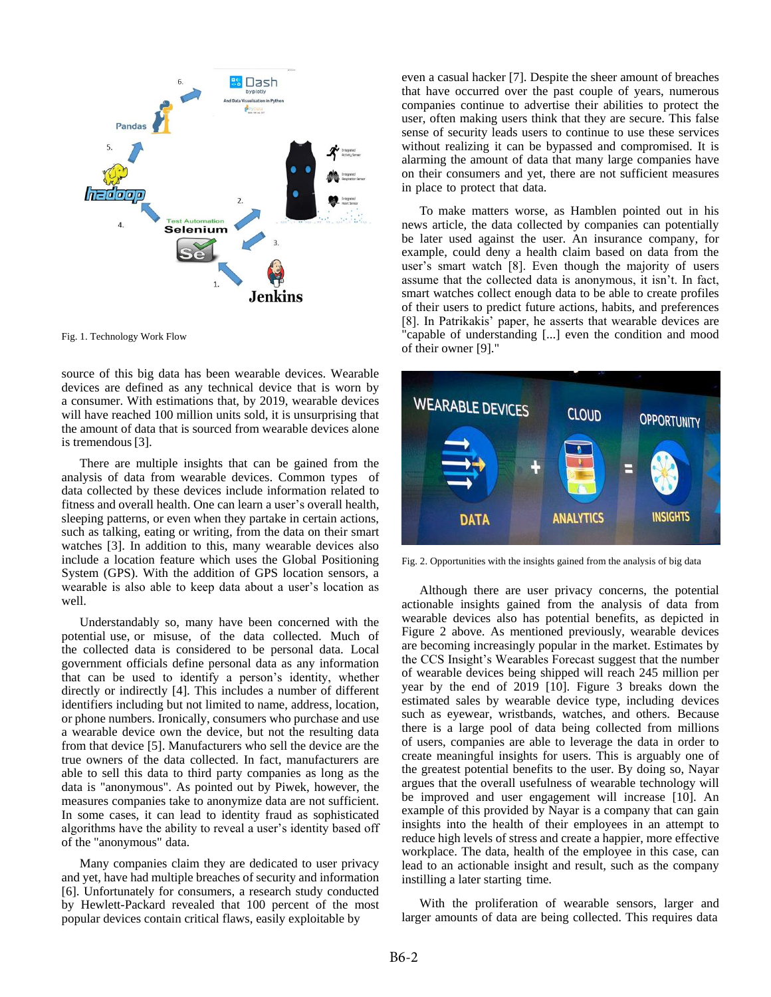

Fig. 1. Technology Work Flow

source of this big data has been wearable devices. Wearable devices are defined as any technical device that is worn by a consumer. With estimations that, by 2019, wearable devices will have reached 100 million units sold, it is unsurprising that the amount of data that is sourced from wearable devices alone is tremendous [3].

There are multiple insights that can be gained from the analysis of data from wearable devices. Common types of data collected by these devices include information related to fitness and overall health. One can learn a user's overall health, sleeping patterns, or even when they partake in certain actions, such as talking, eating or writing, from the data on their smart watches [3]. In addition to this, many wearable devices also include a location feature which uses the Global Positioning System (GPS). With the addition of GPS location sensors, a wearable is also able to keep data about a user's location as well.

Understandably so, many have been concerned with the potential use, or misuse, of the data collected. Much of the collected data is considered to be personal data. Local government officials define personal data as any information that can be used to identify a person's identity, whether directly or indirectly [4]. This includes a number of different identifiers including but not limited to name, address, location, or phone numbers. Ironically, consumers who purchase and use a wearable device own the device, but not the resulting data from that device [5]. Manufacturers who sell the device are the true owners of the data collected. In fact, manufacturers are able to sell this data to third party companies as long as the data is "anonymous". As pointed out by Piwek, however, the measures companies take to anonymize data are not sufficient. In some cases, it can lead to identity fraud as sophisticated algorithms have the ability to reveal a user's identity based off of the "anonymous" data.

Many companies claim they are dedicated to user privacy and yet, have had multiple breaches of security and information [6]. Unfortunately for consumers, a research study conducted by Hewlett-Packard revealed that 100 percent of the most popular devices contain critical flaws, easily exploitable by

even a casual hacker [7]. Despite the sheer amount of breaches that have occurred over the past couple of years, numerous companies continue to advertise their abilities to protect the user, often making users think that they are secure. This false sense of security leads users to continue to use these services without realizing it can be bypassed and compromised. It is alarming the amount of data that many large companies have on their consumers and yet, there are not sufficient measures in place to protect that data.

To make matters worse, as Hamblen pointed out in his news article, the data collected by companies can potentially be later used against the user. An insurance company, for example, could deny a health claim based on data from the user's smart watch [8]. Even though the majority of users assume that the collected data is anonymous, it isn't. In fact, smart watches collect enough data to be able to create profiles of their users to predict future actions, habits, and preferences [8]. In Patrikakis' paper, he asserts that wearable devices are "capable of understanding [...] even the condition and mood of their owner [9]."



Fig. 2. Opportunities with the insights gained from the analysis of big data

Although there are user privacy concerns, the potential actionable insights gained from the analysis of data from wearable devices also has potential benefits, as depicted in Figure 2 above. As mentioned previously, wearable devices are becoming increasingly popular in the market. Estimates by the CCS Insight's Wearables Forecast suggest that the number of wearable devices being shipped will reach 245 million per year by the end of 2019 [10]. Figure 3 breaks down the estimated sales by wearable device type, including devices such as eyewear, wristbands, watches, and others. Because there is a large pool of data being collected from millions of users, companies are able to leverage the data in order to create meaningful insights for users. This is arguably one of the greatest potential benefits to the user. By doing so, Nayar argues that the overall usefulness of wearable technology will be improved and user engagement will increase [10]. An example of this provided by Nayar is a company that can gain insights into the health of their employees in an attempt to reduce high levels of stress and create a happier, more effective workplace. The data, health of the employee in this case, can lead to an actionable insight and result, such as the company instilling a later starting time.

With the proliferation of wearable sensors, larger and larger amounts of data are being collected. This requires data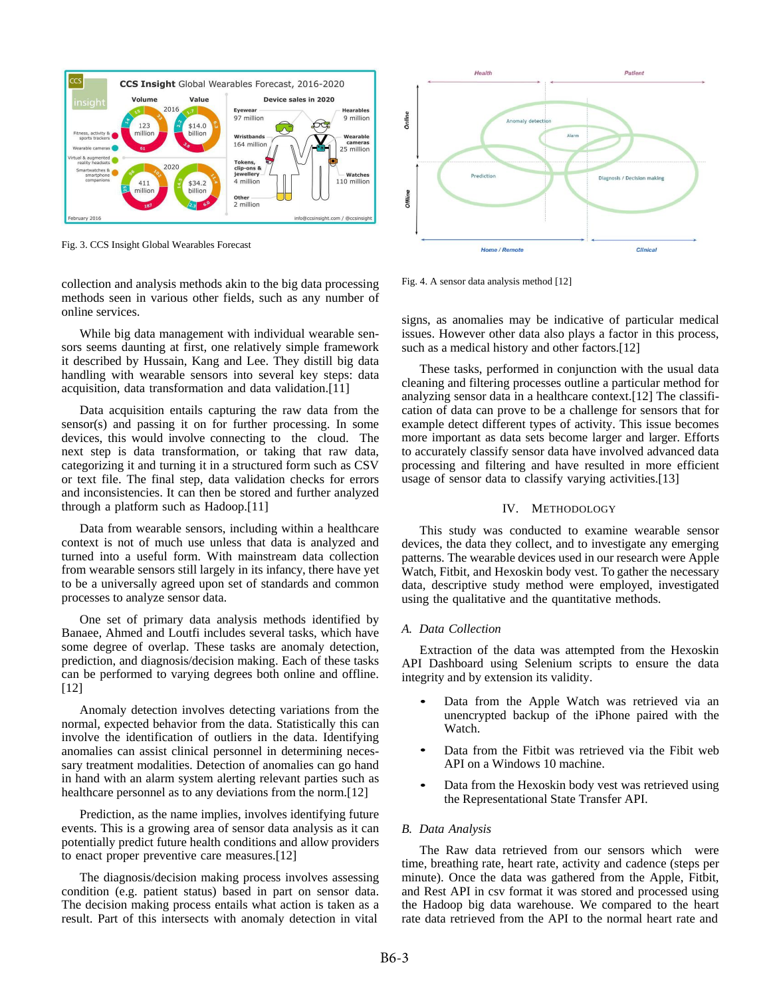

Fig. 3. CCS Insight Global Wearables Forecast

collection and analysis methods akin to the big data processing methods seen in various other fields, such as any number of online services.

While big data management with individual wearable sensors seems daunting at first, one relatively simple framework it described by Hussain, Kang and Lee. They distill big data handling with wearable sensors into several key steps: data acquisition, data transformation and data validation.[11]

Data acquisition entails capturing the raw data from the sensor(s) and passing it on for further processing. In some devices, this would involve connecting to the cloud. The next step is data transformation, or taking that raw data, categorizing it and turning it in a structured form such as CSV or text file. The final step, data validation checks for errors and inconsistencies. It can then be stored and further analyzed through a platform such as Hadoop.[11]

Data from wearable sensors, including within a healthcare context is not of much use unless that data is analyzed and turned into a useful form. With mainstream data collection from wearable sensors still largely in its infancy, there have yet to be a universally agreed upon set of standards and common processes to analyze sensor data.

One set of primary data analysis methods identified by Banaee, Ahmed and Loutfi includes several tasks, which have some degree of overlap. These tasks are anomaly detection, prediction, and diagnosis/decision making. Each of these tasks can be performed to varying degrees both online and offline. [12]

Anomaly detection involves detecting variations from the normal, expected behavior from the data. Statistically this can involve the identification of outliers in the data. Identifying anomalies can assist clinical personnel in determining necessary treatment modalities. Detection of anomalies can go hand in hand with an alarm system alerting relevant parties such as healthcare personnel as to any deviations from the norm.[12]

Prediction, as the name implies, involves identifying future events. This is a growing area of sensor data analysis as it can potentially predict future health conditions and allow providers to enact proper preventive care measures.[12]

The diagnosis/decision making process involves assessing condition (e.g. patient status) based in part on sensor data. The decision making process entails what action is taken as a result. Part of this intersects with anomaly detection in vital



Fig. 4. A sensor data analysis method [12]

signs, as anomalies may be indicative of particular medical issues. However other data also plays a factor in this process, such as a medical history and other factors.[12]

These tasks, performed in conjunction with the usual data cleaning and filtering processes outline a particular method for analyzing sensor data in a healthcare context.[12] The classification of data can prove to be a challenge for sensors that for example detect different types of activity. This issue becomes more important as data sets become larger and larger. Efforts to accurately classify sensor data have involved advanced data processing and filtering and have resulted in more efficient usage of sensor data to classify varying activities.[13]

#### IV. METHODOLOGY

This study was conducted to examine wearable sensor devices, the data they collect, and to investigate any emerging patterns. The wearable devices used in our research were Apple Watch, Fitbit, and Hexoskin body vest. To gather the necessary data, descriptive study method were employed, investigated using the qualitative and the quantitative methods.

#### *A. Data Collection*

Extraction of the data was attempted from the Hexoskin API Dashboard using Selenium scripts to ensure the data integrity and by extension its validity.

- Data from the Apple Watch was retrieved via an unencrypted backup of the iPhone paired with the Watch. *•*
- Data from the Fitbit was retrieved via the Fibit web API on a Windows 10 machine. *•*
- Data from the Hexoskin body vest was retrieved using the Representational State Transfer API. *•*

#### *B. Data Analysis*

The Raw data retrieved from our sensors which were time, breathing rate, heart rate, activity and cadence (steps per minute). Once the data was gathered from the Apple, Fitbit, and Rest API in csv format it was stored and processed using the Hadoop big data warehouse. We compared to the heart rate data retrieved from the API to the normal heart rate and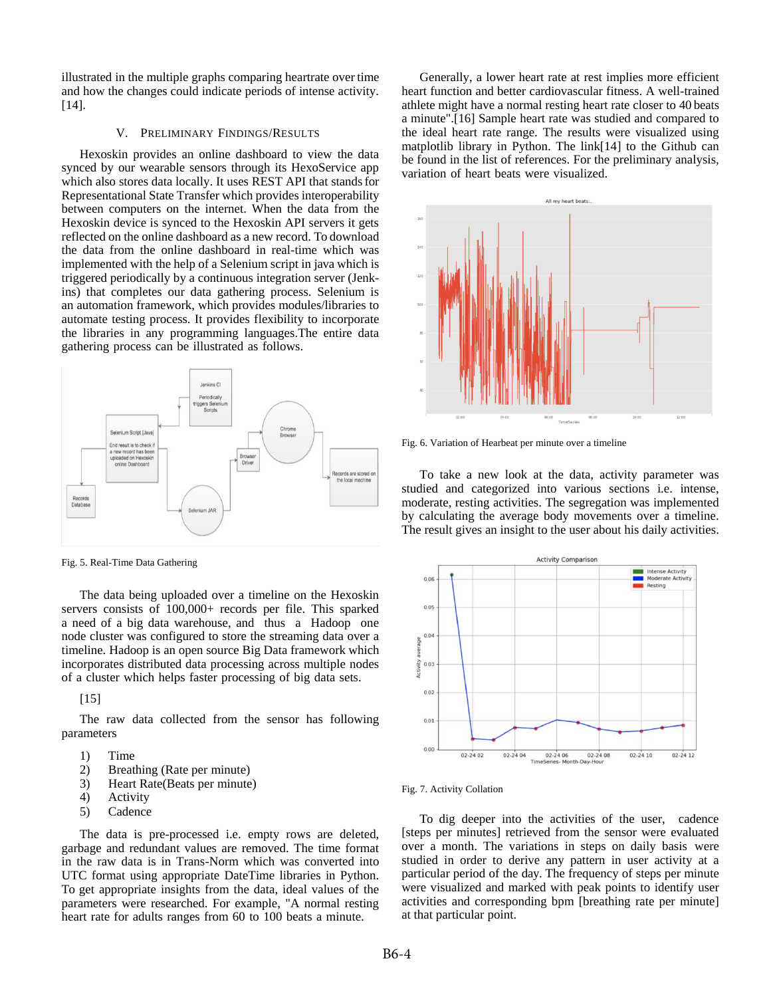illustrated in the multiple graphs comparing heartrate over time and how the changes could indicate periods of intense activity. [14].

# V. PRELIMINARY FINDINGS/RESULTS

Hexoskin provides an online dashboard to view the data synced by our wearable sensors through its HexoService app which also stores data locally. It uses REST API that stands for Representational State Transfer which provides interoperability between computers on the internet. When the data from the Hexoskin device is synced to the Hexoskin API servers it gets reflected on the online dashboard as a new record. To download the data from the online dashboard in real-time which was implemented with the help of a Selenium script in java which is triggered periodically by a continuous integration server (Jenkins) that completes our data gathering process. Selenium is an automation framework, which provides modules/libraries to automate testing process. It provides flexibility to incorporate the libraries in any programming languages.The entire data gathering process can be illustrated as follows.



Fig. 5. Real-Time Data Gathering

The data being uploaded over a timeline on the Hexoskin servers consists of 100,000+ records per file. This sparked a need of a big data warehouse, and thus a Hadoop one node cluster was configured to store the streaming data over a timeline. Hadoop is an open source Big Data framework which incorporates distributed data processing across multiple nodes of a cluster which helps faster processing of big data sets.

[15]

The raw data collected from the sensor has following parameters

- 1) Time
- 2) Breathing (Rate per minute)
- 3) Heart Rate(Beats per minute)
- 4) Activity
- 5) Cadence

The data is pre-processed i.e. empty rows are deleted, garbage and redundant values are removed. The time format in the raw data is in Trans-Norm which was converted into UTC format using appropriate DateTime libraries in Python. To get appropriate insights from the data, ideal values of the parameters were researched. For example, "A normal resting heart rate for adults ranges from 60 to 100 beats a minute.

Generally, a lower heart rate at rest implies more efficient heart function and better cardiovascular fitness. A well-trained athlete might have a normal resting heart rate closer to 40 beats a minute".[16] Sample heart rate was studied and compared to the ideal heart rate range. The results were visualized using matplotlib library in Python. The link[14] to the Github can be found in the list of references. For the preliminary analysis, variation of heart beats were visualized.



Fig. 6. Variation of Hearbeat per minute over a timeline

To take a new look at the data, activity parameter was studied and categorized into various sections i.e. intense, moderate, resting activities. The segregation was implemented by calculating the average body movements over a timeline. The result gives an insight to the user about his daily activities.



### Fig. 7. Activity Collation

To dig deeper into the activities of the user, cadence [steps per minutes] retrieved from the sensor were evaluated over a month. The variations in steps on daily basis were studied in order to derive any pattern in user activity at a particular period of the day. The frequency of steps per minute were visualized and marked with peak points to identify user activities and corresponding bpm [breathing rate per minute] at that particular point.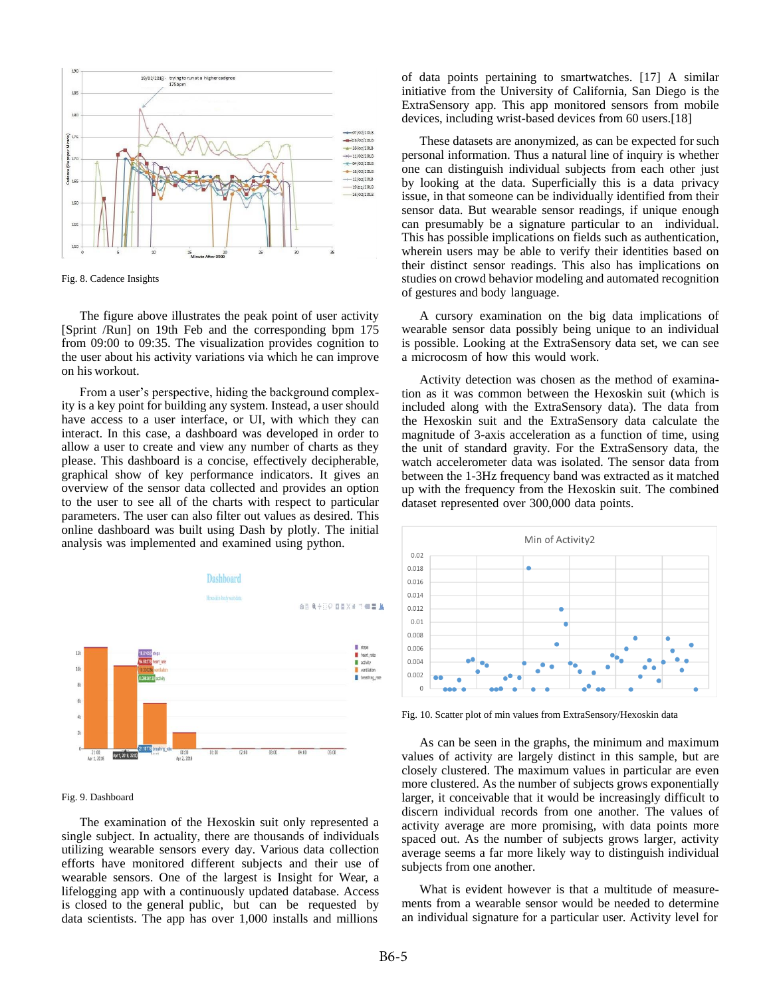

Fig. 8. Cadence Insights

The figure above illustrates the peak point of user activity [Sprint /Run] on 19th Feb and the corresponding bpm 175 from 09:00 to 09:35. The visualization provides cognition to the user about his activity variations via which he can improve on his workout.

From a user's perspective, hiding the background complexity is a key point for building any system. Instead, a user should have access to a user interface, or UI, with which they can interact. In this case, a dashboard was developed in order to allow a user to create and view any number of charts as they please. This dashboard is a concise, effectively decipherable, graphical show of key performance indicators. It gives an overview of the sensor data collected and provides an option to the user to see all of the charts with respect to particular parameters. The user can also filter out values as desired. This online dashboard was built using Dash by plotly. The initial analysis was implemented and examined using python.



Fig. 9. Dashboard

The examination of the Hexoskin suit only represented a single subject. In actuality, there are thousands of individuals utilizing wearable sensors every day. Various data collection efforts have monitored different subjects and their use of wearable sensors. One of the largest is Insight for Wear, a lifelogging app with a continuously updated database. Access is closed to the general public, but can be requested by data scientists. The app has over 1,000 installs and millions

of data points pertaining to smartwatches. [17] A similar initiative from the University of California, San Diego is the ExtraSensory app. This app monitored sensors from mobile devices, including wrist-based devices from 60 users.[18]

These datasets are anonymized, as can be expected for such personal information. Thus a natural line of inquiry is whether one can distinguish individual subjects from each other just by looking at the data. Superficially this is a data privacy issue, in that someone can be individually identified from their sensor data. But wearable sensor readings, if unique enough can presumably be a signature particular to an individual. This has possible implications on fields such as authentication, wherein users may be able to verify their identities based on their distinct sensor readings. This also has implications on studies on crowd behavior modeling and automated recognition of gestures and body language.

A cursory examination on the big data implications of wearable sensor data possibly being unique to an individual is possible. Looking at the ExtraSensory data set, we can see a microcosm of how this would work.

Activity detection was chosen as the method of examination as it was common between the Hexoskin suit (which is included along with the ExtraSensory data). The data from the Hexoskin suit and the ExtraSensory data calculate the magnitude of 3-axis acceleration as a function of time, using the unit of standard gravity. For the ExtraSensory data, the watch accelerometer data was isolated. The sensor data from between the 1-3Hz frequency band was extracted as it matched up with the frequency from the Hexoskin suit. The combined dataset represented over 300,000 data points.



Fig. 10. Scatter plot of min values from ExtraSensory/Hexoskin data

As can be seen in the graphs, the minimum and maximum values of activity are largely distinct in this sample, but are closely clustered. The maximum values in particular are even more clustered. As the number of subjects grows exponentially larger, it conceivable that it would be increasingly difficult to discern individual records from one another. The values of activity average are more promising, with data points more spaced out. As the number of subjects grows larger, activity average seems a far more likely way to distinguish individual subjects from one another.

What is evident however is that a multitude of measurements from a wearable sensor would be needed to determine an individual signature for a particular user. Activity level for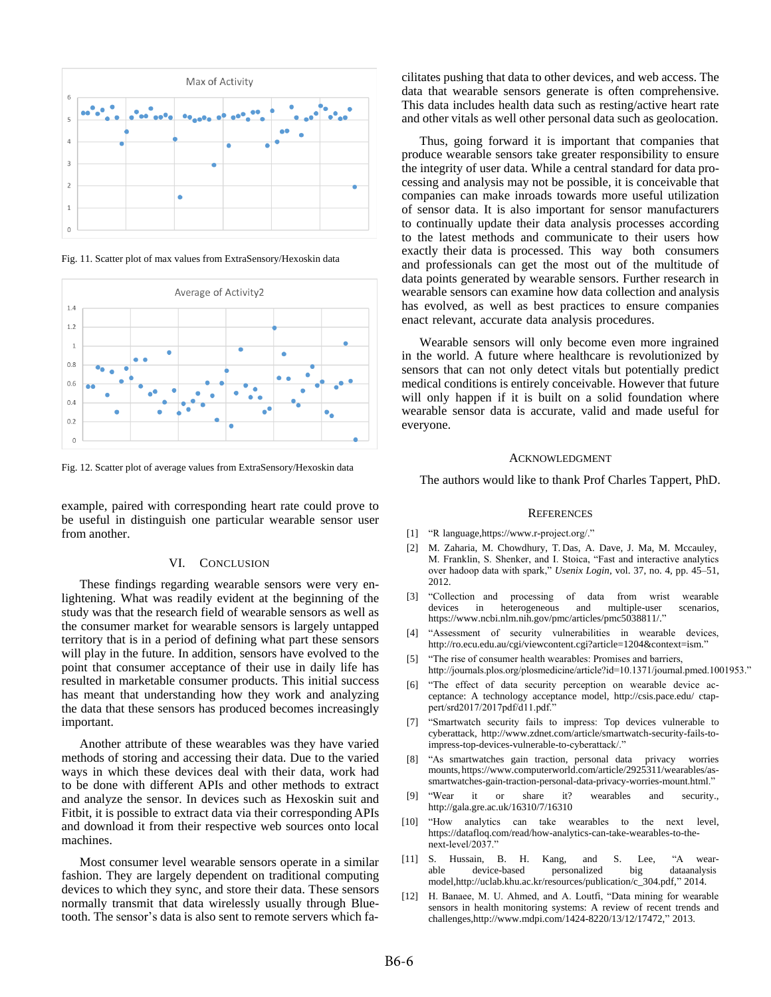

Fig. 11. Scatter plot of max values from ExtraSensory/Hexoskin data



Fig. 12. Scatter plot of average values from ExtraSensory/Hexoskin data

example, paired with corresponding heart rate could prove to be useful in distinguish one particular wearable sensor user from another.

#### VI. CONCLUSION

These findings regarding wearable sensors were very enlightening. What was readily evident at the beginning of the study was that the research field of wearable sensors as well as the consumer market for wearable sensors is largely untapped territory that is in a period of defining what part these sensors will play in the future. In addition, sensors have evolved to the point that consumer acceptance of their use in daily life has resulted in marketable consumer products. This initial success has meant that understanding how they work and analyzing the data that these sensors has produced becomes increasingly important.

Another attribute of these wearables was they have varied methods of storing and accessing their data. Due to the varied ways in which these devices deal with their data, work had to be done with different APIs and other methods to extract and analyze the sensor. In devices such as Hexoskin suit and Fitbit, it is possible to extract data via their corresponding APIs and download it from their respective web sources onto local machines.

Most consumer level wearable sensors operate in a similar fashion. They are largely dependent on traditional computing devices to which they sync, and store their data. These sensors normally transmit that data wirelessly usually through Bluetooth. The sensor's data is also sent to remote servers which facilitates pushing that data to other devices, and web access. The data that wearable sensors generate is often comprehensive. This data includes health data such as resting/active heart rate and other vitals as well other personal data such as geolocation.

Thus, going forward it is important that companies that produce wearable sensors take greater responsibility to ensure the integrity of user data. While a central standard for data processing and analysis may not be possible, it is conceivable that companies can make inroads towards more useful utilization of sensor data. It is also important for sensor manufacturers to continually update their data analysis processes according to the latest methods and communicate to their users how exactly their data is processed. This way both consumers and professionals can get the most out of the multitude of data points generated by wearable sensors. Further research in wearable sensors can examine how data collection and analysis has evolved, as well as best practices to ensure companies enact relevant, accurate data analysis procedures.

Wearable sensors will only become even more ingrained in the world. A future where healthcare is revolutionized by sensors that can not only detect vitals but potentially predict medical conditions is entirely conceivable. However that future will only happen if it is built on a solid foundation where wearable sensor data is accurate, valid and made useful for everyone.

#### ACKNOWLEDGMENT

The authors would like to thank Prof Charles Tappert, PhD.

#### **REFERENCES**

- [1] "R [language,https://www.](http://www.r-project.org/)r-project.org/."
- [2] M. Zaharia, M. Chowdhury, T. Das, A. Dave, J. Ma, M. Mccauley, M. Franklin, S. Shenker, and I. Stoica, "Fast and interactive analytics over hadoop data with spark," *Usenix Login*, vol. 37, no. 4, pp. 45–51, 2012.
- [3] "Collection and processing of data from wrist wearable heterogeneous and multiple-user scenarios, [https://www.ncbi.nlm.nih.gov/pmc/articles/pmc5038811/."](http://www.ncbi.nlm.nih.gov/pmc/articles/pmc5038811/)
- [4] "Assessment of security vulnerabilities in wearable devices, [http://ro.ecu.edu.au/cgi/viewcontent.cgi?article=1204&context=ism."](http://ro.ecu.edu.au/cgi/viewcontent.cgi?article=1204&context=ism)
- [5] "The rise of consumer health wearables: Promises and barriers, http://journals.plos.org/plosmedicine/article?id=10.1371/journal.pmed.1001953."
- [6] "The effect of data security perception on wearable device acceptance: A technology acceptance model, <http://csis.pace.edu/> ctappert/srd2017/2017pdf/d11.pdf."
- [7] "Smartwatch security fails to impress: Top devices vulnerable to cyberattack, [http://www.zdnet.com/article/smartwatch-security-fails-to](http://www.zdnet.com/article/smartwatch-security-fails-to-)impress-top-devices-vulnerable-to-cyberattack/."
- [8] "As smartwatches gain traction, personal data privacy worries mounts, http[s://www.computerworld.com/article/2925311/wearables/as](http://www.computerworld.com/article/2925311/wearables/as-)smartwatches-gain-traction-personal-data-privacy-worries-mount.html."
- [9] "Wear it or share it? wearables and security., <http://gala.gre.ac.uk/16310/7/16310>
- [10] "How analytics can take wearables to the next level, https://datafloq.com/read/how-analytics-can-take-wearables-to-thenext-level/2037."
- [11] S. Hussain, B. H. Kang, and S. Lee, "A wearable device-based personalized big [model,http://uclab.khu.ac.kr/resources/publication/c\\_304.pdf,"](http://uclab.khu.ac.kr/resources/publication/c_304.pdf) 2014.
- [12] H. Banaee, M. U. Ahmed, and A. Loutfi, "Data mining for wearable sensors in health monitoring systems: A review of recent trends and [challenges,http://www.mdpi.com/1424-8220/13/12/17472,"](http://www.mdpi.com/1424-8220/13/12/17472) 2013.